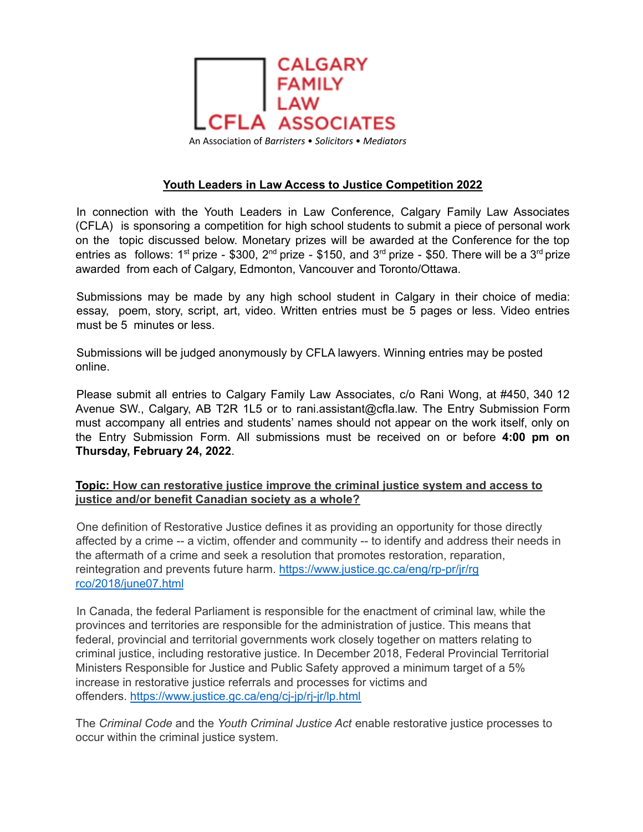

## **Youth Leaders in Law Access to Justice Competition 2022**

In connection with the Youth Leaders in Law Conference, Calgary Family Law Associates (CFLA) is sponsoring a competition for high school students to submit a piece of personal work on the topic discussed below. Monetary prizes will be awarded at the Conference for the top entries as follows: 1<sup>st</sup> prize - \$300, 2<sup>nd</sup> prize - \$150, and 3<sup>rd</sup> prize - \$50. There will be a 3<sup>rd</sup> prize awarded from each of Calgary, Edmonton, Vancouver and Toronto/Ottawa.

Submissions may be made by any high school student in Calgary in their choice of media: essay, poem, story, script, art, video. Written entries must be 5 pages or less. Video entries must be 5 minutes or less.

Submissions will be judged anonymously by CFLA lawyers. Winning entries may be posted online.

Please submit all entries to Calgary Family Law Associates, c/o Rani Wong, at #450, 340 12 Avenue SW., Calgary, AB T2R 1L5 or to rani.assistant@cfla.law. The Entry Submission Form must accompany all entries and students' names should not appear on the work itself, only on the Entry Submission Form. All submissions must be received on or before **4:00 pm on Thursday, February 24, 2022**.

## **Topic: How can restorative justice improve the criminal justice system and access to justice and/or benefit Canadian society as a whole?**

One definition of Restorative Justice defines it as providing an opportunity for those directly affected by a crime -- a victim, offender and community -- to identify and address their needs in the aftermath of a crime and seek a resolution that promotes restoration, reparation, reintegration and prevents future harm. https://www.justice.gc.ca/eng/rp-pr/jr/rg rco/2018/june07.html

In Canada, the federal Parliament is responsible for the enactment of criminal law, while the provinces and territories are responsible for the administration of justice. This means that federal, provincial and territorial governments work closely together on matters relating to criminal justice, including restorative justice. In December 2018, Federal Provincial Territorial Ministers Responsible for Justice and Public Safety approved a minimum target of a 5% increase in restorative justice referrals and processes for victims and offenders. https://www.justice.gc.ca/eng/cj-jp/rj-jr/lp.html

The *Criminal Code* and the *Youth Criminal Justice Act* enable restorative justice processes to occur within the criminal justice system.